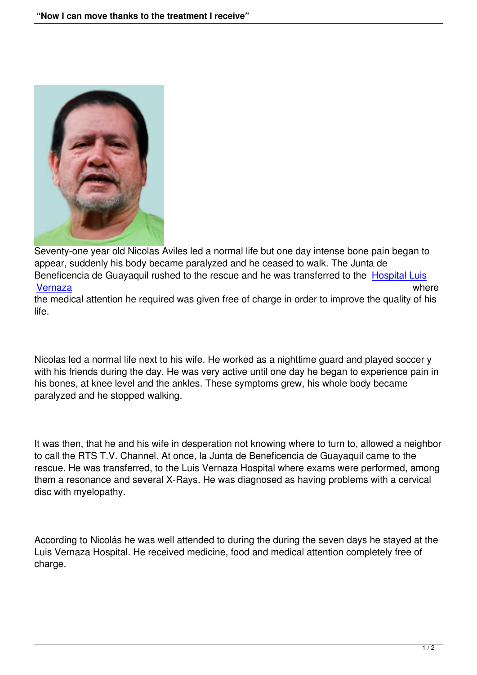

Seventy-one year old Nicolas Aviles led a normal life but one day intense bone pain began to appear, suddenly his body became paralyzed and he ceased to walk. The Junta de Beneficencia de Guayaquil rushed to the rescue and he was transferred to the Hospital Luis Vernaza where

the medical attention he required was given free of charge in order to improve the quality of his life.

Nicolas led a normal life next to his wife. He worked as a nighttime guard and played soccer y with his friends during the day. He was very active until one day he began to experience pain in his bones, at knee level and the ankles. These symptoms grew, his whole body became paralyzed and he stopped walking.

It was then, that he and his wife in desperation not knowing where to turn to, allowed a neighbor to call the RTS T.V. Channel. At once, la Junta de Beneficencia de Guayaquil came to the rescue. He was transferred, to the Luis Vernaza Hospital where exams were performed, among them a resonance and several X-Rays. He was diagnosed as having problems with a cervical disc with myelopathy.

According to Nicolás he was well attended to during the during the seven days he stayed at the Luis Vernaza Hospital. He received medicine, food and medical attention completely free of charge.